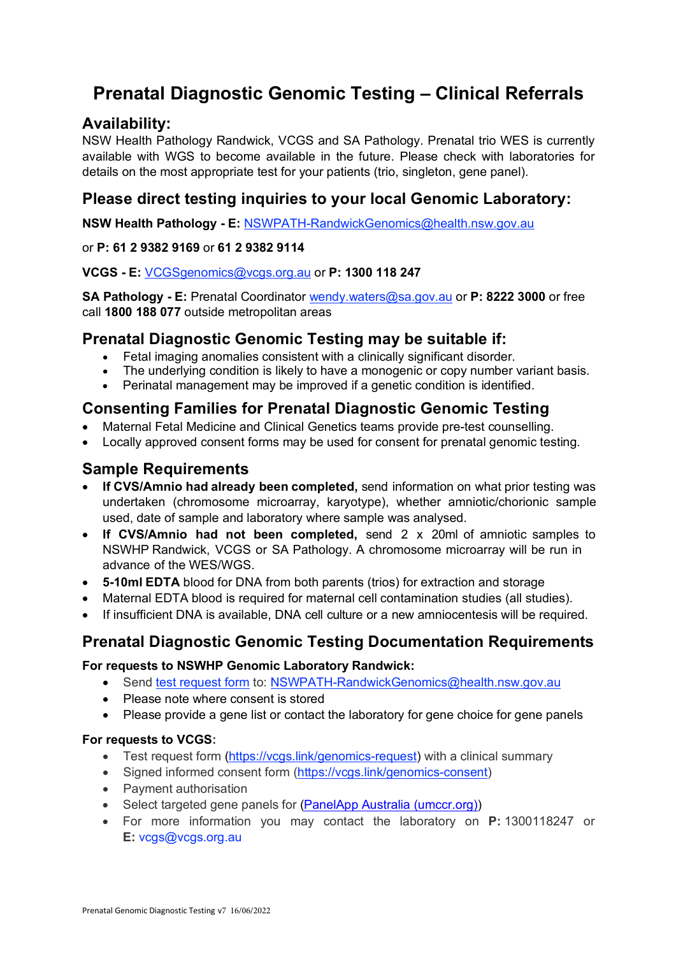# **Prenatal Diagnostic Genomic Testing – Clinical Referrals**

### **Availability:**

NSW Health Pathology Randwick, VCGS and SA Pathology. Prenatal trio WES is currently available with WGS to become available in the future. Please check with laboratories for details on the most appropriate test for your patients (trio, singleton, gene panel).

### **Please direct testing inquiries to your local Genomic Laboratory:**

**NSW Health Pathology - E:** NSWPATH-RandwickGenomics@health.nsw.gov.au

#### or **P: 61 2 9382 9169** or **61 2 9382 9114**

#### **VCGS - E:** VCGSgenomics@vcgs.org.au or **P: 1300 118 247**

**SA Pathology - E:** Prenatal Coordinator wendy.waters@sa.gov.au or **P: 8222 3000** or free call **1800 188 077** outside metropolitan areas

#### **Prenatal Diagnostic Genomic Testing may be suitable if:**

- Fetal imaging anomalies consistent with a clinically significant disorder.
- The underlying condition is likely to have a monogenic or copy number variant basis.
- Perinatal management may be improved if a genetic condition is identified.

### **Consenting Families for Prenatal Diagnostic Genomic Testing**

- Maternal Fetal Medicine and Clinical Genetics teams provide pre-test counselling.
- Locally approved consent forms may be used for consent for prenatal genomic testing.

### **Sample Requirements**

- **If CVS/Amnio had already been completed,** send information on what prior testing was undertaken (chromosome microarray, karyotype), whether amniotic/chorionic sample used, date of sample and laboratory where sample was analysed.
- **If CVS/Amnio had not been completed,** send 2 x 20ml of amniotic samples to NSWHP Randwick, VCGS or SA Pathology. A chromosome microarray will be run in advance of the WES/WGS.
- **5-10ml EDTA** blood for DNA from both parents (trios) for extraction and storage
- Maternal EDTA blood is required for maternal cell contamination studies (all studies).
- If insufficient DNA is available, DNA cell culture or a new amniocentesis will be required.

# **Prenatal Diagnostic Genomic Testing Documentation Requirements**

#### **For requests to NSWHP Genomic Laboratory Randwick:**

- Send test request form to: NSWPATH-RandwickGenomics@health.nsw.gov.au
- Please note where consent is stored
- Please provide a gene list or contact the laboratory for gene choice for gene panels

#### **For requests to VCGS:**

- Test request form (https://vcgs.link/genomics-request) with a clinical summary
- Signed informed consent form (https://vcgs.link/genomics-consent)
- Payment authorisation
- Select targeted gene panels for (PanelApp Australia (umccr.org))
- For more information you may contact the laboratory on **P:** 1300118247 or **E:** vcgs@vcgs.org.au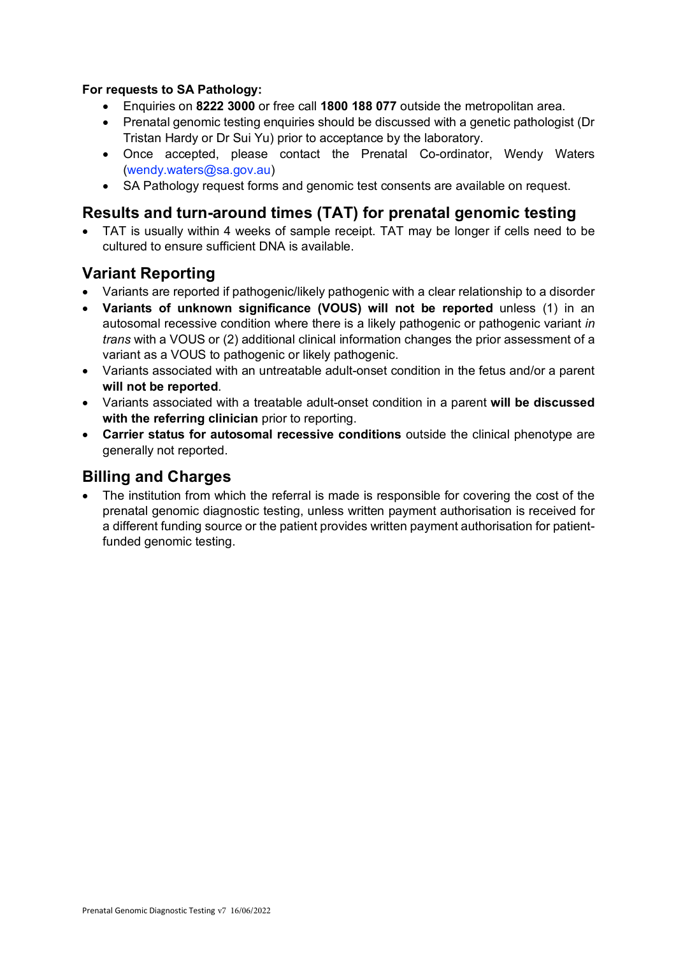#### **For requests to SA Pathology:**

- Enquiries on **8222 3000** or free call **1800 188 077** outside the metropolitan area.
- Prenatal genomic testing enquiries should be discussed with a genetic pathologist (Dr Tristan Hardy or Dr Sui Yu) prior to acceptance by the laboratory.
- Once accepted, please contact the Prenatal Co-ordinator, Wendy Waters (wendy.waters@sa.gov.au)
- SA Pathology request forms and genomic test consents are available on request.

### **Results and turn-around times (TAT) for prenatal genomic testing**

• TAT is usually within 4 weeks of sample receipt. TAT may be longer if cells need to be cultured to ensure sufficient DNA is available.

### **Variant Reporting**

- Variants are reported if pathogenic/likely pathogenic with a clear relationship to a disorder
- **Variants of unknown significance (VOUS) will not be reported** unless (1) in an autosomal recessive condition where there is a likely pathogenic or pathogenic variant *in trans* with a VOUS or (2) additional clinical information changes the prior assessment of a variant as a VOUS to pathogenic or likely pathogenic.
- Variants associated with an untreatable adult-onset condition in the fetus and/or a parent **will not be reported**.
- Variants associated with a treatable adult-onset condition in a parent **will be discussed with the referring clinician** prior to reporting.
- **Carrier status for autosomal recessive conditions** outside the clinical phenotype are generally not reported.

#### **Billing and Charges**

• The institution from which the referral is made is responsible for covering the cost of the prenatal genomic diagnostic testing, unless written payment authorisation is received for a different funding source or the patient provides written payment authorisation for patientfunded genomic testing.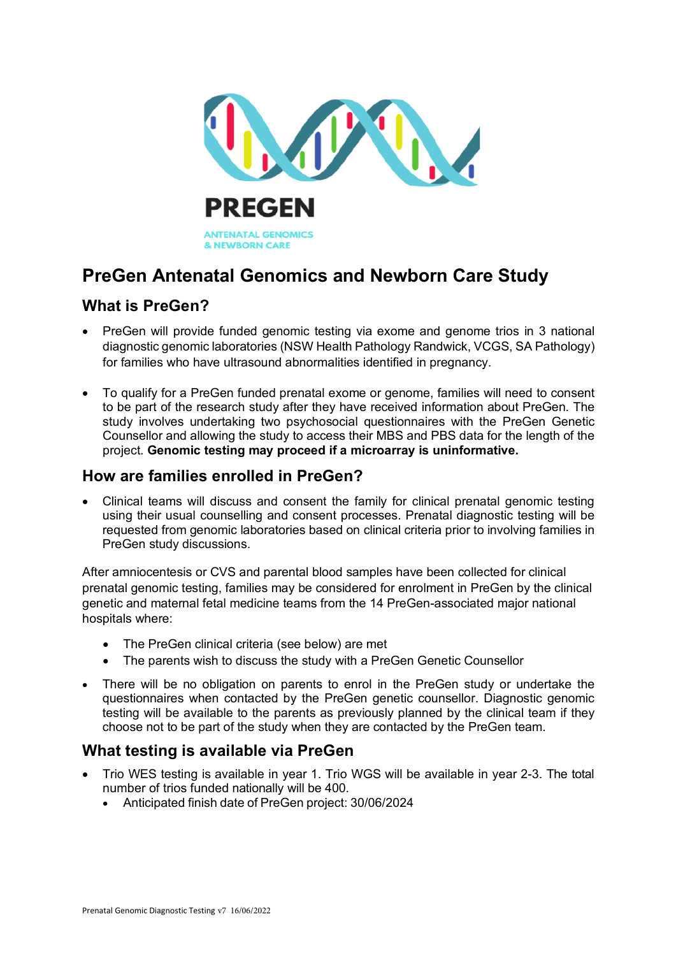

# **PreGen Antenatal Genomics and Newborn Care Study**

# **What is PreGen?**

- PreGen will provide funded genomic testing via exome and genome trios in 3 national diagnostic genomic laboratories (NSW Health Pathology Randwick, VCGS, SA Pathology) for families who have ultrasound abnormalities identified in pregnancy.
- To qualify for a PreGen funded prenatal exome or genome, families will need to consent to be part of the research study after they have received information about PreGen. The study involves undertaking two psychosocial questionnaires with the PreGen Genetic Counsellor and allowing the study to access their MBS and PBS data for the length of the project. **Genomic testing may proceed if a microarray is uninformative.**

## **How are families enrolled in PreGen?**

• Clinical teams will discuss and consent the family for clinical prenatal genomic testing using their usual counselling and consent processes. Prenatal diagnostic testing will be requested from genomic laboratories based on clinical criteria prior to involving families in PreGen study discussions.

After amniocentesis or CVS and parental blood samples have been collected for clinical prenatal genomic testing, families may be considered for enrolment in PreGen by the clinical genetic and maternal fetal medicine teams from the 14 PreGen-associated major national hospitals where:

- The PreGen clinical criteria (see below) are met
- The parents wish to discuss the study with a PreGen Genetic Counsellor
- There will be no obligation on parents to enrol in the PreGen study or undertake the questionnaires when contacted by the PreGen genetic counsellor. Diagnostic genomic testing will be available to the parents as previously planned by the clinical team if they choose not to be part of the study when they are contacted by the PreGen team.

### **What testing is available via PreGen**

- Trio WES testing is available in year 1. Trio WGS will be available in year 2-3. The total number of trios funded nationally will be 400.
	- Anticipated finish date of PreGen project: 30/06/2024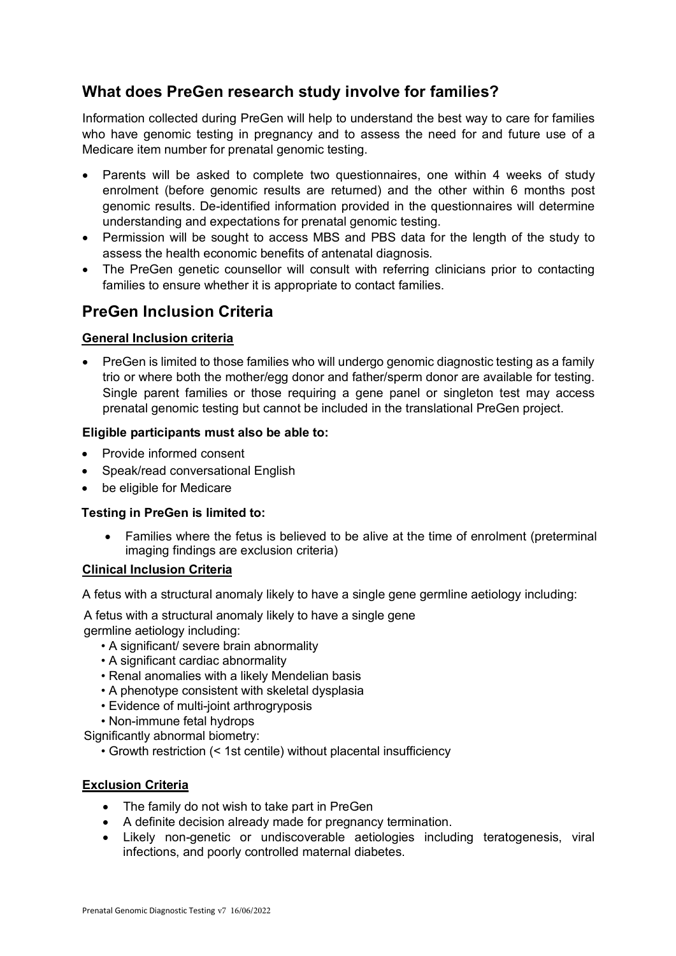# **What does PreGen research study involve for families?**

Information collected during PreGen will help to understand the best way to care for families who have genomic testing in pregnancy and to assess the need for and future use of a Medicare item number for prenatal genomic testing.

- Parents will be asked to complete two questionnaires, one within 4 weeks of study enrolment (before genomic results are returned) and the other within 6 months post genomic results. De-identified information provided in the questionnaires will determine understanding and expectations for prenatal genomic testing.
- Permission will be sought to access MBS and PBS data for the length of the study to assess the health economic benefits of antenatal diagnosis.
- The PreGen genetic counsellor will consult with referring clinicians prior to contacting families to ensure whether it is appropriate to contact families.

### **PreGen Inclusion Criteria**

#### **General Inclusion criteria**

• PreGen is limited to those families who will undergo genomic diagnostic testing as a family trio or where both the mother/egg donor and father/sperm donor are available for testing. Single parent families or those requiring a gene panel or singleton test may access prenatal genomic testing but cannot be included in the translational PreGen project.

#### **Eligible participants must also be able to:**

- Provide informed consent
- Speak/read conversational English
- be eligible for Medicare

#### **Testing in PreGen is limited to:**

• Families where the fetus is believed to be alive at the time of enrolment (preterminal imaging findings are exclusion criteria)

#### **Clinical Inclusion Criteria**

A fetus with a structural anomaly likely to have a single gene germline aetiology including:

A fetus with a structural anomaly likely to have a single gene

germline aetiology including:

- A significant/ severe brain abnormality
- A significant cardiac abnormality
- Renal anomalies with a likely Mendelian basis
- A phenotype consistent with skeletal dysplasia
- Evidence of multi-joint arthrogryposis
- Non-immune fetal hydrops

Significantly abnormal biometry:

• Growth restriction (< 1st centile) without placental insufficiency

#### **Exclusion Criteria**

- The family do not wish to take part in PreGen
- A definite decision already made for pregnancy termination.
- Likely non-genetic or undiscoverable aetiologies including teratogenesis, viral infections, and poorly controlled maternal diabetes.